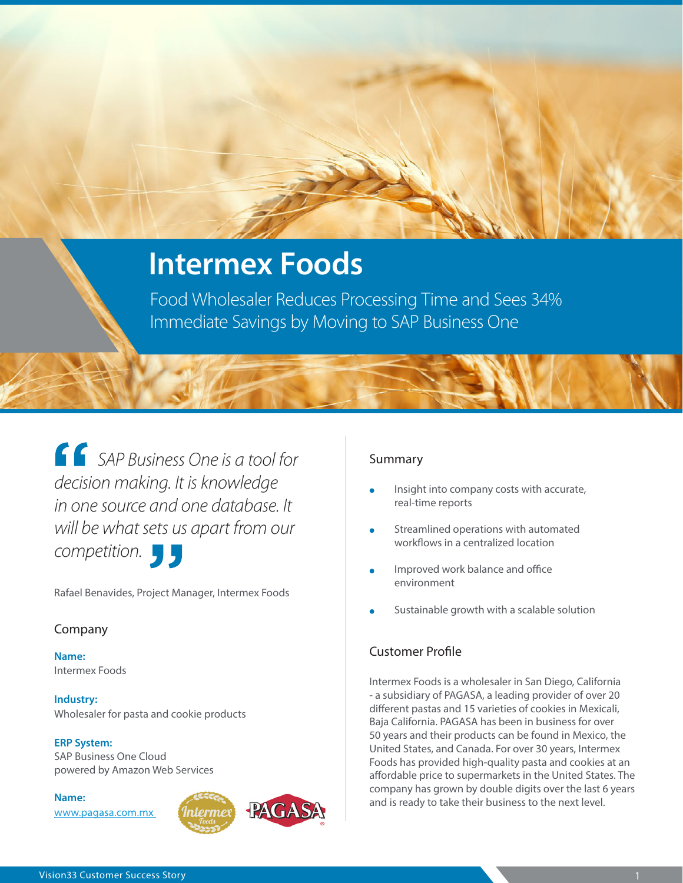# **Intermex Foods**

Food Wholesaler Reduces Processing Time and Sees 34% Immediate Savings by Moving to SAP Business One

*SAP Business One is a tool for decision making. It is knowledge in one source and one database. It will be what sets us apart from our competition.*

Rafael Benavides, Project Manager, Intermex Foods

### Company

**Name:** Intermex Foods

**Industry:**  Wholesaler for pasta and cookie products

#### **ERP System:**

SAP Business One Cloud powered by Amazon Web Services

**Name:** www.pagasa.com.mx



### Summary

- Insight into company costs with accurate, real-time reports
- Streamlined operations with automated workflows in a centralized location
- Improved work balance and office environment
- Sustainable growth with a scalable solution

### Customer Profile

Intermex Foods is a wholesaler in San Diego, California - a subsidiary of PAGASA, a leading provider of over 20 different pastas and 15 varieties of cookies in Mexicali, Baja California. PAGASA has been in business for over 50 years and their products can be found in Mexico, the United States, and Canada. For over 30 years, Intermex Foods has provided high-quality pasta and cookies at an affordable price to supermarkets in the United States. The company has grown by double digits over the last 6 years and is ready to take their business to the next level.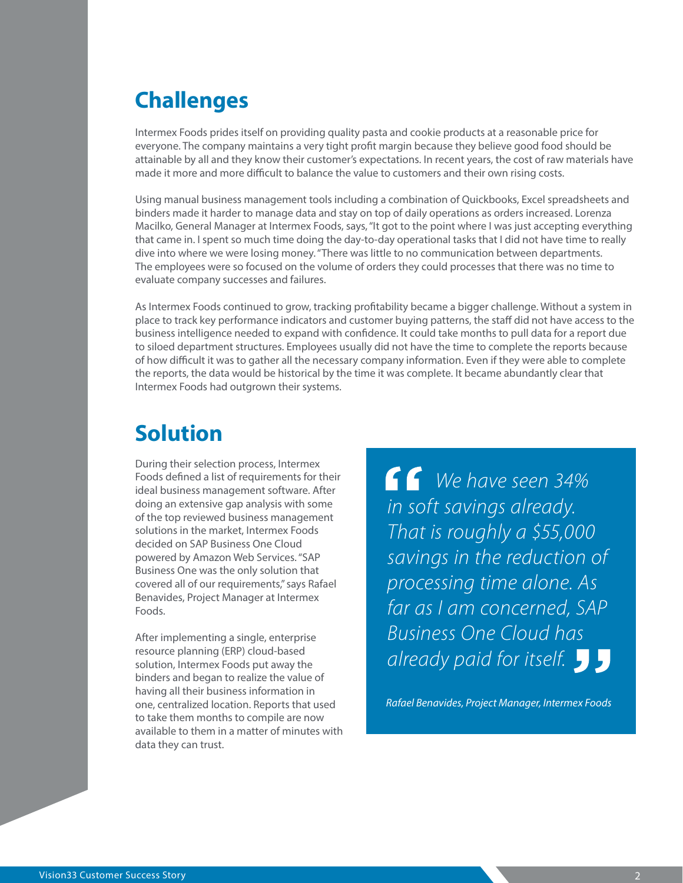### **Challenges**

Intermex Foods prides itself on providing quality pasta and cookie products at a reasonable price for everyone. The company maintains a very tight profit margin because they believe good food should be attainable by all and they know their customer's expectations. In recent years, the cost of raw materials have made it more and more difficult to balance the value to customers and their own rising costs.

Using manual business management tools including a combination of Quickbooks, Excel spreadsheets and binders made it harder to manage data and stay on top of daily operations as orders increased. Lorenza Macilko, General Manager at Intermex Foods, says, "It got to the point where I was just accepting everything that came in. I spent so much time doing the day-to-day operational tasks that I did not have time to really dive into where we were losing money. "There was little to no communication between departments. The employees were so focused on the volume of orders they could processes that there was no time to evaluate company successes and failures.

As Intermex Foods continued to grow, tracking profitability became a bigger challenge. Without a system in place to track key performance indicators and customer buying patterns, the staff did not have access to the business intelligence needed to expand with confidence. It could take months to pull data for a report due to siloed department structures. Employees usually did not have the time to complete the reports because of how difficult it was to gather all the necessary company information. Even if they were able to complete the reports, the data would be historical by the time it was complete. It became abundantly clear that Intermex Foods had outgrown their systems.

### **Solution**

During their selection process, Intermex Foods defined a list of requirements for their ideal business management software. After doing an extensive gap analysis with some of the top reviewed business management solutions in the market, Intermex Foods decided on SAP Business One Cloud powered by Amazon Web Services. "SAP Business One was the only solution that covered all of our requirements," says Rafael Benavides, Project Manager at Intermex Foods.

After implementing a single, enterprise resource planning (ERP) cloud-based solution, Intermex Foods put away the binders and began to realize the value of having all their business information in one, centralized location. Reports that used to take them months to compile are now available to them in a matter of minutes with data they can trust.

*We have seen 34% in soft savings already. That is roughly a \$55,000 savings in the reduction of processing time alone. As far as I am concerned, SAP Business One Cloud has already paid for itself.*

*Rafael Benavides, Project Manager, Intermex Foods*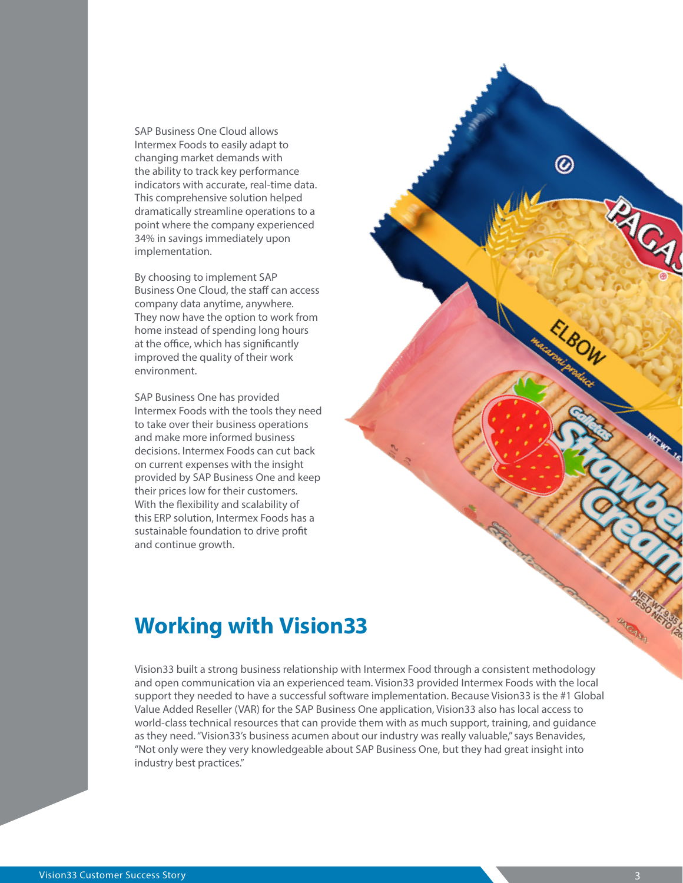SAP Business One Cloud allows Intermex Foods to easily adapt to changing market demands with the ability to track key performance indicators with accurate, real-time data. This comprehensive solution helped dramatically streamline operations to a point where the company experienced 34% in savings immediately upon implementation.

By choosing to implement SAP Business One Cloud, the staff can access company data anytime, anywhere. They now have the option to work from home instead of spending long hours at the office, which has significantly improved the quality of their work environment.

SAP Business One has provided Intermex Foods with the tools they need to take over their business operations and make more informed business decisions. Intermex Foods can cut back on current expenses with the insight provided by SAP Business One and keep their prices low for their customers. With the flexibility and scalability of this ERP solution, Intermex Foods has a sustainable foundation to drive profit and continue growth.

### **Working with Vision33**

Vision33 built a strong business relationship with Intermex Food through a consistent methodology and open communication via an experienced team. Vision33 provided Intermex Foods with the local support they needed to have a successful software implementation. Because Vision33 is the #1 Global Value Added Reseller (VAR) for the SAP Business One application, Vision33 also has local access to world-class technical resources that can provide them with as much support, training, and guidance as they need. "Vision33's business acumen about our industry was really valuable," says Benavides, "Not only were they very knowledgeable about SAP Business One, but they had great insight into industry best practices."

◎

27CA